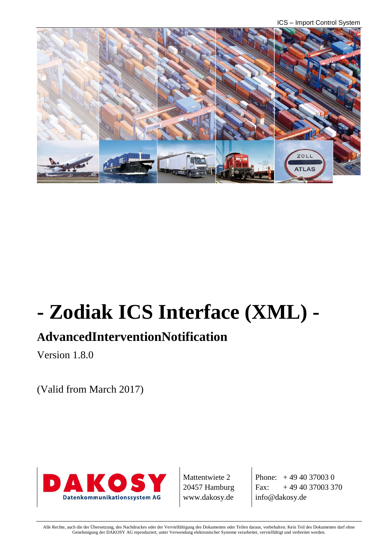ICS – Import Control System



# **- Zodiak ICS Interface (XML) -**

# **AdvancedInterventionNotification**

Version 1.8.0

(Valid from March 2017)



Mattentwiete 2 20457 Hamburg www.dakosy.de

Phone:  $+4940370030$ Fax:  $+494037003370$ info@dakosy.de

Alle Rechte, auch die der Übersetzung, des Nachdruckes oder der Vervielfältigung des Dokumentes oder Teilen daraus, vorbehalten. Kein Teil des Dokumentes darf ohne Genehmigung der DAKOSY AG reproduziert, unter Verwendung elektronischer Systeme verarbeitet, vervielfältigt und verbreitet werden.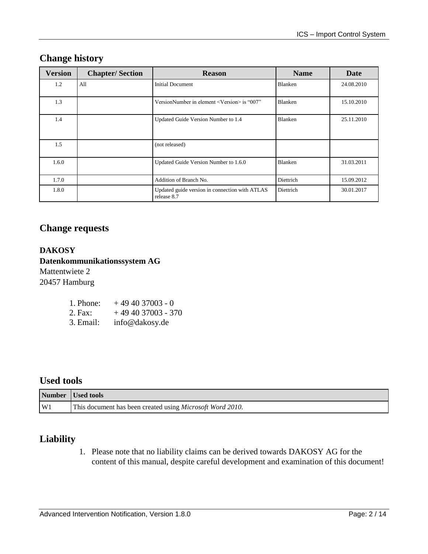| <b>Version</b> | <b>Chapter/Section</b> | <b>Reason</b>                                                 | <b>Name</b>    | <b>Date</b> |
|----------------|------------------------|---------------------------------------------------------------|----------------|-------------|
| 1.2            | All                    | <b>Initial Document</b>                                       | <b>Blanken</b> | 24.08.2010  |
| 1.3            |                        | VersionNumber in element <version> is "007"</version>         | <b>Blanken</b> | 15.10.2010  |
| 1.4            |                        | Updated Guide Version Number to 1.4                           | <b>Blanken</b> | 25.11.2010  |
| 1.5            |                        | (not released)                                                |                |             |
| 1.6.0          |                        | Updated Guide Version Number to 1.6.0                         | Blanken        | 31.03.2011  |
| 1.7.0          |                        | Addition of Branch No.                                        | Diettrich      | 15.09.2012  |
| 1.8.0          |                        | Updated guide version in connection with ATLAS<br>release 8.7 | Diettrich      | 30.01.2017  |

#### **Change history**

#### **Change requests**

#### **DAKOSY Datenkommunikationssystem AG**

Mattentwiete 2 20457 Hamburg

| 1. Phone: | $+494037003 - 0$   |
|-----------|--------------------|
| $2.$ Fax: | $+494037003 - 370$ |
| 3. Email: | info@dakosy.de     |

#### **Used tools**

|   | Number Used tools                                                 |
|---|-------------------------------------------------------------------|
| W | This document has been created using <i>Microsoft Word 2010</i> . |

#### **Liability**

1. Please note that no liability claims can be derived towards DAKOSY AG for the content of this manual, despite careful development and examination of this document!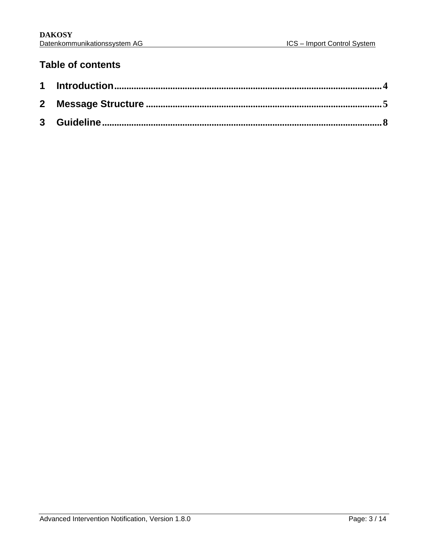#### **Table of contents**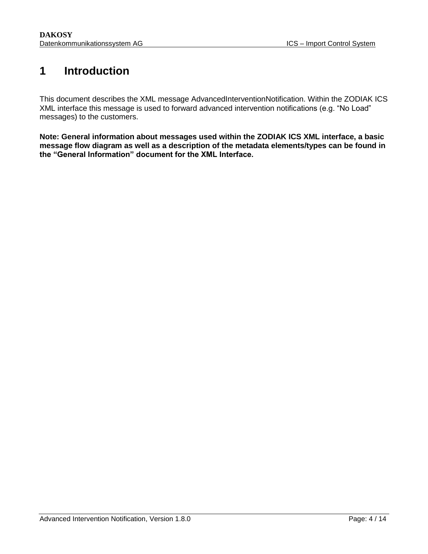### <span id="page-3-0"></span>**1 Introduction**

This document describes the XML message AdvancedInterventionNotification. Within the ZODIAK ICS XML interface this message is used to forward advanced intervention notifications (e.g. "No Load" messages) to the customers.

**Note: General information about messages used within the ZODIAK ICS XML interface, a basic message flow diagram as well as a description of the metadata elements/types can be found in the "General Information" document for the XML Interface.**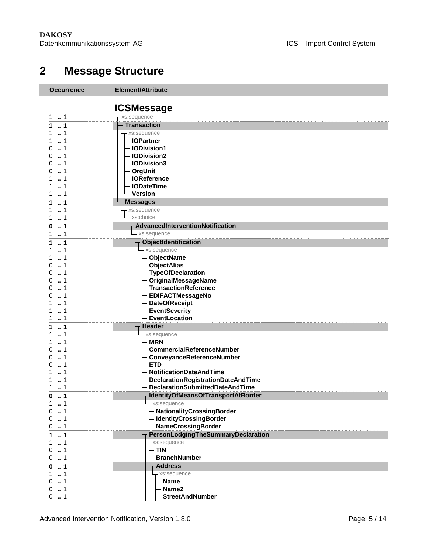# <span id="page-4-0"></span>**Message Structure**

| <b>Occurrence</b>                 | Element/Attribute                                                            |
|-----------------------------------|------------------------------------------------------------------------------|
|                                   |                                                                              |
|                                   | <b>ICSMessage</b>                                                            |
| $1 \t{.} 1$                       | - xs:sequence                                                                |
| $\ldots$ 1                        | <b>Transaction</b>                                                           |
| 1                                 | - xs:sequence                                                                |
| 1                                 | - IOPartner                                                                  |
| $\sim$ 1<br>1<br>O                | - <b>IODivision1</b><br>- IODivision2                                        |
| 1<br>U                            | - IODivision3                                                                |
| 1<br>0                            | - OrgUnit                                                                    |
| 1                                 | - IOReference                                                                |
| 1                                 | - IODateTime                                                                 |
| $\ldots$ 1<br>1                   | - Version                                                                    |
| $\ldots$ 1                        | <b>Messages</b>                                                              |
| $\ldots$ 1<br>1                   | xs:sequence                                                                  |
| 1<br>1                            | xs:choice                                                                    |
| $\ldots$ 1<br>0                   | AdvancedInterventionNotification                                             |
| 1<br>1                            | xs:sequence                                                                  |
| 1                                 | <b>ObjectIdentification</b>                                                  |
| 1                                 | xs:sequence                                                                  |
|                                   | - ObjectName                                                                 |
| $\ldots$ 1<br>U                   | <b>ObjectAlias</b>                                                           |
| $\cdot$ 1<br>O                    | - TypeOfDeclaration                                                          |
| 1<br>1<br>0                       | - OriginalMessageName<br>- TransactionReference                              |
| 1<br>0                            | <b>EDIFACTMessageNo</b>                                                      |
| 1                                 | <b>DateOfReceipt</b>                                                         |
| 1<br>1                            | <b>EventSeverity</b>                                                         |
| 1                                 | <b>EventLocation</b>                                                         |
| $\dots$ 1                         | <b>Header</b>                                                                |
| 1                                 | - xs:sequence                                                                |
|                                   | <b>MRN</b>                                                                   |
| $\overline{1}$<br>O               | CommercialReferenceNumber                                                    |
| 1<br>O                            | ConveyanceReferenceNumber                                                    |
| 1<br>O                            | - ETD                                                                        |
| 1                                 | <b>NotificationDateAndTime</b>                                               |
| 1<br>1                            | DeclarationRegistrationDateAndTime<br><b>DeclarationSubmittedDateAndTime</b> |
|                                   | IdentityOfMeansOfTransportAtBorder                                           |
| 0.1<br>$\ldots$ 1<br>$\mathbf{1}$ | - xs:sequence                                                                |
| 1<br>0                            | - NationalityCrossingBorder                                                  |
| 0.1                               | - IdentityCrossingBorder                                                     |
| 0.1                               | - NameCrossingBorder                                                         |
| $\ldots$ 1<br>1                   | PersonLodgingTheSummaryDeclaration                                           |
| 1<br>1                            | xs:sequence                                                                  |
| 1<br>0                            | <b>TIN</b>                                                                   |
| 0.1                               | <b>BranchNumber</b>                                                          |
| 1<br>0                            | <b>Address</b>                                                               |
| $\dots$ 1<br>1                    | xs:sequence                                                                  |
| $0 \t  1$                         | <b>Name</b>                                                                  |
| 0.1                               | Name2                                                                        |
| 01                                | <b>StreetAndNumber</b>                                                       |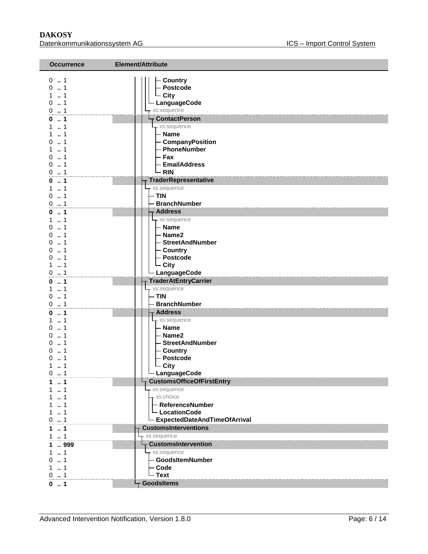# **DAKOSY**

| <b>Occurrence</b>         | <b>Element/Attribute</b>           |
|---------------------------|------------------------------------|
| 0<br>. . 1                |                                    |
| $0 \t  1$                 | Country<br>- Postcode              |
| $\dots$ 1<br>$\mathbf{1}$ | - City                             |
| 1<br>0                    | LanguageCode                       |
| 0.1                       | xs:sequence                        |
| $\dots$ 1<br>0            | ContactPerson                      |
| $\dots$ 1<br>$\mathbf 1$  | - xs:sequence                      |
| 1<br>1                    | – Name                             |
| 1<br>0                    | - CompanyPosition                  |
| 1<br>1                    | - PhoneNumber                      |
| 0<br>. . 1                | - Fax                              |
| $\dots$ 1<br>0            | <b>EmailAddress</b>                |
| 1<br>0                    | - RIN                              |
| $\ldots$ 1<br>0           | <b>TraderRepresentative</b>        |
| 1<br>$\mathbf 1$          | xs:sequence                        |
| 1<br>0                    | - TIN                              |
| 1<br>0                    | <b>BranchNumber</b>                |
| $\ldots$ 1<br>0           | <b>Address</b>                     |
| 1<br>1                    | - xs:sequence                      |
| 0<br>1                    | - Name                             |
| 1<br>0                    | - Name2                            |
| 1<br>0                    | - StreetAndNumber                  |
| 1<br>0                    | - Country                          |
| 0<br>. . 1                | - Postcode                         |
| $\ldots$ 1<br>1<br>1<br>0 | - City<br>LanguageCode             |
| $\ldots$ 1<br>0           | <b>TraderAtEntryCarrier</b>        |
| $\dots$ 1<br>$\mathbf 1$  | xs:sequence                        |
| $\dots$ 1<br>0            | - TIN                              |
| $\ldots$ 1<br>0           | <b>BranchNumber</b>                |
| $\dots$ 1<br>0            | <b>Address</b>                     |
| 1<br>1                    | - xs:sequence                      |
| 0<br>1                    | - Name                             |
| $\dots$ 1<br>0            | - Name2                            |
| 0<br>1                    | - StreetAndNumber                  |
| 0<br>1                    | - Country                          |
| 0<br>1                    | - Postcode                         |
| 1<br>1                    | - City                             |
| $\Omega$<br>1             | LanguageCode                       |
| 1<br>1                    | <b>CustomsOfficeOfFirstEntry</b>   |
| 1                         | xs:sequence                        |
| 1<br>1                    | $-$ xs:choice<br>- ReferenceNumber |
| 1<br>1                    | L Location Code                    |
| 1<br>0                    | - ExpectedDateAndTimeOfArrival     |
| $\ldots$ 1                | <b>CustomsInterventions</b>        |
| 1<br>1                    | xs:sequence                        |
| 999                       | <b>CustomsIntervention</b>         |
| 1                         | xs:sequence                        |
| 1<br>0                    | - GoodsItemNumber                  |
| 1<br>1                    | - Code                             |
| $0 \t  1$                 | – Text                             |
| $0 \dots 1$               | <b>GoodsItems</b>                  |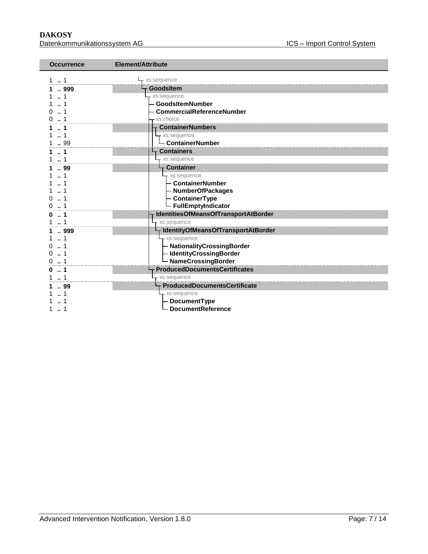**DAKOSY**<br>Datenkommunikationssystem AG<br>Datenkommunikationssystem AG<br>
Batenkommunikationssystem AG Datenkommunikationssystem AG

| <b>Occurrence</b> | Element/Attribute                                            |
|-------------------|--------------------------------------------------------------|
| $\dots$ 1         | xs:sequence                                                  |
| 999               | GoodsItem                                                    |
|                   | xs:sequence                                                  |
|                   | <b>GoodsItemNumber</b>                                       |
|                   | CommercialReferenceNumber                                    |
| 0                 | xs:choice                                                    |
|                   | <b>ContainerNumbers</b>                                      |
|                   | xs:sequence                                                  |
| 99                | <b>ContainerNumber</b>                                       |
| $\ldots$ 1        | <b>Containers</b>                                            |
|                   | xs:sequence                                                  |
| 99                | <b>Container</b>                                             |
|                   | xs:sequence                                                  |
|                   | <b>ContainerNumber</b>                                       |
|                   | - NumberOfPackages                                           |
|                   | ContainerType                                                |
|                   | <b>FullEmptyIndicator</b>                                    |
| 1                 | IdentitiesOfMeansOfTransportAtBorder                         |
| -1                | xs:sequence                                                  |
| 999               | IdentityOfMeansOfTransportAtBorder                           |
|                   | - xs:sequence                                                |
|                   | - NationalityCrossingBorder                                  |
|                   | - IdentityCrossingBorder                                     |
| 0                 | - NameCrossingBorder<br><b>ProducedDocumentsCertificates</b> |
| $\cdot$ 1<br>o    |                                                              |
|                   | xs:sequence<br><b>ProducedDocumentsCertificate</b>           |
| 99                |                                                              |
|                   | xs:sequence                                                  |
|                   | <b>DocumentType</b><br><b>DocumentReference</b>              |
|                   |                                                              |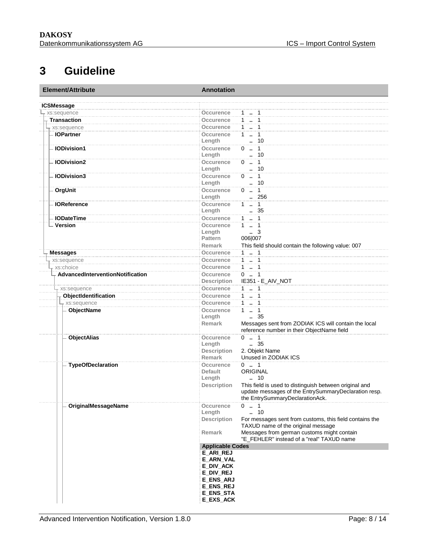## <span id="page-7-0"></span>**3 Guideline**

| Element/Attribute                | <b>Annotation</b>                                                                                                   |  |  |
|----------------------------------|---------------------------------------------------------------------------------------------------------------------|--|--|
| <b>ICSMessage</b>                |                                                                                                                     |  |  |
| xs:sequence                      | 1  1<br>Occurence                                                                                                   |  |  |
| <b>Transaction</b>               | $1 - 1$<br>Occurence                                                                                                |  |  |
| xs:sequence                      | Occurence<br>1  1                                                                                                   |  |  |
| - IOPartner                      | $1 \quad 1$<br>Occurence                                                                                            |  |  |
|                                  | Length<br>. 10                                                                                                      |  |  |
| <b>IODivision1</b>               | $0 \t . 1$<br>Occurence                                                                                             |  |  |
|                                  | Length<br>$\cdot$ 10                                                                                                |  |  |
| <b>IODivision2</b>               | $0 \t . 1$<br>Occurence                                                                                             |  |  |
|                                  | Length<br>. 10                                                                                                      |  |  |
| <b>IODivision3</b>               | $0 \t  1$<br>Occurence                                                                                              |  |  |
|                                  | . 10<br>Length                                                                                                      |  |  |
| OrgUnit                          | $0 \t . 1$<br>Occurence                                                                                             |  |  |
|                                  | $\ldots$ 256<br>Length                                                                                              |  |  |
| <b>IOReference</b>               | Occurence<br>$1 \t  1$<br>. 35<br>Length                                                                            |  |  |
| <b>IODateTime</b>                | $1 \t . 1$<br>Occurence                                                                                             |  |  |
| - Version                        | $1 - 1$<br>Occurence                                                                                                |  |  |
|                                  | $\ldots$ 3<br>Length                                                                                                |  |  |
|                                  | 006 007<br><b>Pattern</b>                                                                                           |  |  |
|                                  | This field should contain the following value: 007<br><b>Remark</b>                                                 |  |  |
| <b>Messages</b>                  | $1 - 1$<br>Occurence                                                                                                |  |  |
| xs:sequence                      | $1 \quad 1$<br>Occurence                                                                                            |  |  |
| xs:choice                        | $1 - 1$<br>Occurence                                                                                                |  |  |
| AdvancedInterventionNotification | $0 \t  1$<br>Occurence                                                                                              |  |  |
|                                  | IE351 - E_AIV_NOT<br><b>Description</b>                                                                             |  |  |
| xs:sequence                      | 1  1<br>Occurence                                                                                                   |  |  |
| ObjectIdentification             | $1 - 1$<br><b>Occurence</b>                                                                                         |  |  |
| + xs:sequence                    | Occurence<br>$1 \t  1$                                                                                              |  |  |
| ObjectName                       | $1 \t  \t 1$<br><b>Occurence</b>                                                                                    |  |  |
|                                  | Length<br>$\, 35$                                                                                                   |  |  |
|                                  | <b>Remark</b><br>Messages sent from ZODIAK ICS will contain the local                                               |  |  |
|                                  | reference number in their ObjectName field                                                                          |  |  |
| ObjectAlias                      | $0 \t  1$<br>Occurence                                                                                              |  |  |
|                                  | $\frac{35}{2}$<br>Length                                                                                            |  |  |
|                                  | 2. Objekt Name<br><b>Description</b>                                                                                |  |  |
|                                  | Unused in ZODIAK ICS<br><b>Remark</b>                                                                               |  |  |
| <b>TypeOfDeclaration</b>         | $0 \t . 1$<br>Occurence                                                                                             |  |  |
|                                  | <b>ORIGINAL</b><br><b>Default</b>                                                                                   |  |  |
|                                  | Length<br>10                                                                                                        |  |  |
|                                  | This field is used to distinguish between original and<br><b>Description</b>                                        |  |  |
|                                  | update messages of the EntrySummaryDeclaration resp.                                                                |  |  |
|                                  | the EntrySummaryDeclarationAck.                                                                                     |  |  |
| OriginalMessageName              | 0.1<br>Occurence                                                                                                    |  |  |
|                                  | . 10<br>Length                                                                                                      |  |  |
|                                  | <b>Description</b><br>For messages sent from customs, this field contains the<br>TAXUD name of the original message |  |  |
|                                  | Messages from german customs might contain<br>Remark                                                                |  |  |
|                                  | "E_FEHLER" instead of a "real" TAXUD name                                                                           |  |  |
|                                  | <b>Applicable Codes</b>                                                                                             |  |  |
|                                  | E_ARI_REJ                                                                                                           |  |  |
|                                  | E_ARN_VAL                                                                                                           |  |  |
|                                  | E_DIV_ACK                                                                                                           |  |  |
|                                  | E_DIV_REJ                                                                                                           |  |  |
|                                  | <b>E_ENS_ARJ</b>                                                                                                    |  |  |
|                                  | E_ENS_REJ                                                                                                           |  |  |
|                                  | E_ENS_STA                                                                                                           |  |  |
|                                  | <b>E_EXS_ACK</b>                                                                                                    |  |  |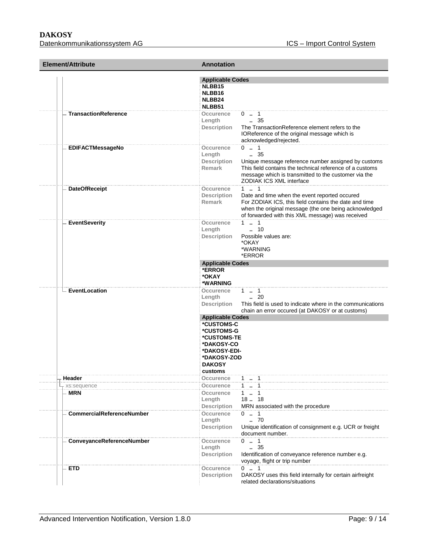**DAKOSY**<br>Datenkommunikationssystem AG<br>Datenkommunikationssystem AG<br>
Batenkommunikationssystem AG Datenkommunikationssystem AG

| Element/Attribute                | <b>Annotation</b>                                                                                                                |                                                                                                                                                                                                                              |  |  |
|----------------------------------|----------------------------------------------------------------------------------------------------------------------------------|------------------------------------------------------------------------------------------------------------------------------------------------------------------------------------------------------------------------------|--|--|
|                                  | <b>Applicable Codes</b><br>NLBB15<br>NLBB16<br>NLBB24<br>NLBB51                                                                  |                                                                                                                                                                                                                              |  |  |
| <b>TransactionReference</b>      | Occurence<br>Length<br><b>Description</b>                                                                                        | $0 \t  1$<br>$\, 35$<br>The TransactionReference element refers to the<br>IOReference of the original message which is<br>acknowledged/rejected.                                                                             |  |  |
| <b>EDIFACTMessageNo</b>          | Occurence<br>Length<br><b>Description</b><br><b>Remark</b>                                                                       | $0 \t . 1$<br>$\, 35$<br>Unique message reference number assigned by customs<br>This field contains the technical reference of a customs<br>message which is transmitted to the customer via the<br>ZODIAK ICS XML interface |  |  |
| <b>DateOfReceipt</b>             | Occurence<br><b>Description</b><br><b>Remark</b>                                                                                 | 11<br>Date and time when the event reported occured<br>For ZODIAK ICS, this field contains the date and time<br>when the original message (the one being acknowledged<br>of forwarded with this XML message) was received    |  |  |
| <b>EventSeverity</b>             | Occurence<br>Length<br><b>Description</b>                                                                                        | $1 - 1$<br>$\ldots$ 10<br>Possible values are:<br>*OKAY<br>*WARNING<br>*ERROR                                                                                                                                                |  |  |
|                                  | <b>Applicable Codes</b><br>*ERROR<br>*OKAY<br>*WARNING                                                                           |                                                                                                                                                                                                                              |  |  |
| EventLocation                    | Occurence<br>Length<br>Description                                                                                               | $1 \t  1$<br>$\cdot$ 20<br>This field is used to indicate where in the communications<br>chain an error occured (at DAKOSY or at customs)                                                                                    |  |  |
|                                  | <b>Applicable Codes</b><br>*CUSTOMS-C<br>*CUSTOMS-G<br>*CUSTOMS-TE<br>*DAKOSY-CO<br>*DAKOSY-EDI-<br>*DAKOSY-ZOD<br><b>DAKOSY</b> |                                                                                                                                                                                                                              |  |  |
| Header                           | customs<br>Occurence                                                                                                             | $1 - 1$                                                                                                                                                                                                                      |  |  |
| - xs:sequence                    | Occurence                                                                                                                        | $1 - 1$                                                                                                                                                                                                                      |  |  |
| <b>MRN</b>                       | Occurence<br>Length<br><b>Description</b>                                                                                        | $1 \t  \t 1$<br>18. 18<br>MRN associated with the procedure                                                                                                                                                                  |  |  |
| <b>CommercialReferenceNumber</b> | Occurence<br>Length<br><b>Description</b>                                                                                        | $0 \t  1$<br>.70<br>Unique identification of consignment e.g. UCR or freight<br>document number.                                                                                                                             |  |  |
| ConveyanceReferenceNumber        | <b>Occurence</b><br>Length<br><b>Description</b>                                                                                 | $0 \t . 1$<br>35<br>Identification of conveyance reference number e.g.<br>voyage, flight or trip number                                                                                                                      |  |  |
| <b>ETD</b>                       | <b>Occurence</b><br><b>Description</b>                                                                                           | $0 \t  1$<br>DAKOSY uses this field internally for certain airfreight<br>related declarations/situations                                                                                                                     |  |  |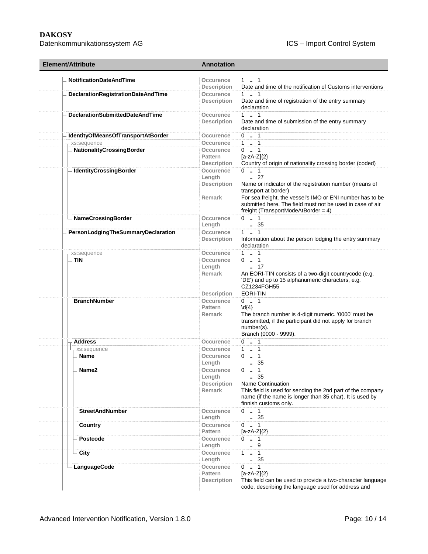# **DAKOSY**

m.

| Element/Attribute                      | <b>Annotation</b>                                          |                                                                                                                                                                                                                                     |  |
|----------------------------------------|------------------------------------------------------------|-------------------------------------------------------------------------------------------------------------------------------------------------------------------------------------------------------------------------------------|--|
| <b>NotificationDateAndTime</b>         | Occurence<br><b>Description</b>                            | 1. 1<br>Date and time of the notification of Customs interventions                                                                                                                                                                  |  |
| DeclarationRegistrationDateAndTime     | <b>Occurence</b><br><b>Description</b>                     | $1 \t  \t 1$<br>Date and time of registration of the entry summary<br>declaration                                                                                                                                                   |  |
| <b>DeclarationSubmittedDateAndTime</b> | <b>Occurence</b><br><b>Description</b>                     | $1 \t  \t 1$<br>Date and time of submission of the entry summary<br>declaration                                                                                                                                                     |  |
| IdentityOfMeansOfTransportAtBorder     | Occurence                                                  | $0 \t  1$                                                                                                                                                                                                                           |  |
| - xs:sequence                          | Occurence                                                  | $1 - 1$                                                                                                                                                                                                                             |  |
| NationalityCrossingBorder              | Occurence<br><b>Pattern</b><br><b>Description</b>          | $0 \t  1$<br>$[a-zA-Z](2)$<br>Country of origin of nationality crossing border (coded)                                                                                                                                              |  |
| <b>IdentityCrossingBorder</b>          | Occurence<br>Length<br><b>Description</b><br><b>Remark</b> | $0 \t  1$<br>$\cdot$ 27<br>Name or indicator of the registration number (means of<br>transport at border)<br>For sea freight, the vessel's IMO or ENI number has to be<br>submitted here. The field must not be used in case of air |  |
|                                        |                                                            | freight (TransportModeAtBorder = $4$ )                                                                                                                                                                                              |  |
| NameCrossingBorder                     | <b>Occurence</b><br>Length                                 | $0 \t . 1$<br>. 35                                                                                                                                                                                                                  |  |
| PersonLodgingTheSummaryDeclaration     | Occurence<br><b>Description</b>                            | $1 \t  \t 1$<br>Information about the person lodging the entry summary<br>declaration                                                                                                                                               |  |
| - xs:sequence                          | Occurence                                                  | $1 - 1$                                                                                                                                                                                                                             |  |
| - TIN                                  | Occurence<br>Length<br><b>Remark</b><br><b>Description</b> | $0 \t  1$<br>$\ldots$ 17<br>An EORI-TIN consists of a two-digit countrycode (e.g.<br>'DE') and up to 15 alphanumeric characters, e.g.<br>CZ1234FGH55<br><b>EORI-TIN</b>                                                             |  |
| <b>BranchNumber</b>                    | <b>Occurence</b><br><b>Pattern</b><br><b>Remark</b>        | $0 \t . 1$<br>$\{4\}$<br>The branch number is 4-digit numeric. '0000' must be<br>transmitted, if the participant did not apply for branch<br>number(s).<br>Branch (0000 - 9999).                                                    |  |
| <b>Address</b>                         | Occurence                                                  | $0 \t  1$                                                                                                                                                                                                                           |  |
| xs:sequence                            | Occurence                                                  | $1 - 1$                                                                                                                                                                                                                             |  |
| Name                                   | Occurence<br>Length                                        | $0 \t  1$<br>$\,-.35$                                                                                                                                                                                                               |  |
| Name2                                  | Occurence<br>Length<br><b>Description</b><br><b>Remark</b> | $0 \t  1$<br>35<br>Name Continuation<br>This field is used for sending the 2nd part of the company<br>name (if the name is longer than 35 char). It is used by<br>finnish customs only.                                             |  |
| <b>StreetAndNumber</b>                 | Occurence<br>Length                                        | $0 \t  1$<br>. 35                                                                                                                                                                                                                   |  |
| Country                                | Occurence<br><b>Pattern</b>                                | $0 \t  1$<br>$[a-zA-Z]\{2\}$                                                                                                                                                                                                        |  |
| <b>Postcode</b>                        | Occurence<br>Length                                        | $0 \t  1$<br>9                                                                                                                                                                                                                      |  |
| ⊦ City                                 | <b>Occurence</b><br>Length                                 | $1 \t  \t 1$<br>. 35                                                                                                                                                                                                                |  |
| - LanguageCode                         | Occurence<br>Pattern<br><b>Description</b>                 | $0$ . 1<br>$[a-zA-Z]\{2\}$<br>This field can be used to provide a two-character language<br>code, describing the language used for address and                                                                                      |  |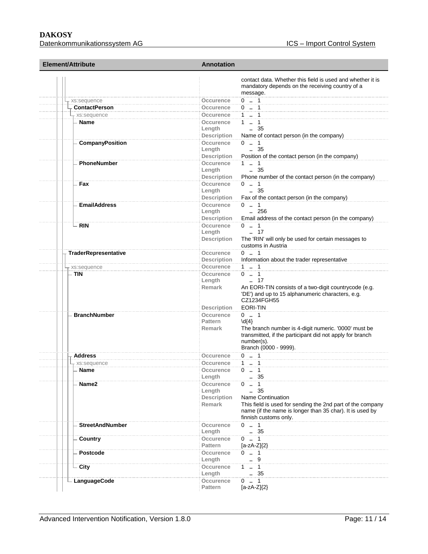| Element/Attribute           | <b>Annotation</b>               |                                                                                                                                                 |
|-----------------------------|---------------------------------|-------------------------------------------------------------------------------------------------------------------------------------------------|
|                             |                                 | contact data. Whether this field is used and whether it is<br>mandatory depends on the receiving country of a<br>message.                       |
| - xs:sequence               | Occurence                       | $0 \t . 1$                                                                                                                                      |
| <b>ContactPerson</b>        | <b>Occurence</b>                | $0 \t  1$                                                                                                                                       |
| + xs:sequence               | <b>Occurence</b>                | $1 - 1$                                                                                                                                         |
| - Name                      | Occurence                       | $1 \t  \t 1$                                                                                                                                    |
|                             | Length                          | $\frac{1}{2}$ 35                                                                                                                                |
|                             | Description                     | Name of contact person (in the company)                                                                                                         |
| CompanyPosition             | Occurence                       | $0 \t  1$                                                                                                                                       |
|                             | Length                          | $\, 35$                                                                                                                                         |
|                             | Description                     | Position of the contact person (in the company)                                                                                                 |
| PhoneNumber                 | Occurence                       | $1 \t  \t 1$<br>35                                                                                                                              |
|                             | Length<br>Description           |                                                                                                                                                 |
| Fax                         | Occurence                       | Phone number of the contact person (in the company)<br>$0 \t . 1$                                                                               |
|                             | Length                          | $\frac{35}{2}$                                                                                                                                  |
|                             | Description                     | Fax of the contact person (in the company)                                                                                                      |
| <b>EmailAddress</b>         | Occurence                       | $0 \t  1$                                                                                                                                       |
|                             | Length                          | .256                                                                                                                                            |
|                             | Description                     | Email address of the contact person (in the company)                                                                                            |
| $\mathrel{\sqsubseteq}$ RIN | Occurence                       | $0 \t  1$                                                                                                                                       |
|                             | Length                          | 17                                                                                                                                              |
|                             | Description                     | The 'RIN' will only be used for certain messages to<br>customs in Austria                                                                       |
| TraderRepresentative        | Occurence                       | $0 \t  1$                                                                                                                                       |
|                             | <b>Description</b>              | Information about the trader representative                                                                                                     |
| xs:sequence                 | Occurence                       | $1 \t  \t 1$                                                                                                                                    |
| – TIN                       | Occurence                       | $0 \t  1$                                                                                                                                       |
|                             | Length<br>Remark                | $\cdot$ 17<br>An EORI-TIN consists of a two-digit countrycode (e.g.<br>'DE') and up to 15 alphanumeric characters, e.g.<br>CZ1234FGH55          |
|                             | Description                     | EORI-TIN                                                                                                                                        |
| <b>BranchNumber</b>         | <b>Occurence</b>                | $0 \t  1$                                                                                                                                       |
|                             | <b>Pattern</b><br><b>Remark</b> | $\{d\}$<br>The branch number is 4-digit numeric. '0000' must be<br>transmitted, if the participant did not apply for branch<br>number(s).       |
|                             |                                 | Branch (0000 - 9999).                                                                                                                           |
| <b>Address</b>              | Occurence                       | $0 \t  1$                                                                                                                                       |
| xs:sequence                 | Occurence                       | 1  1                                                                                                                                            |
| Name                        | Occurence                       | $0 \t  1$                                                                                                                                       |
|                             | Length                          | 35                                                                                                                                              |
| Name2                       | <b>Occurence</b>                | $0 \t  1$                                                                                                                                       |
|                             | Length                          | 35                                                                                                                                              |
|                             | Description                     | Name Continuation                                                                                                                               |
|                             | <b>Remark</b>                   | This field is used for sending the 2nd part of the company<br>name (if the name is longer than 35 char). It is used by<br>finnish customs only. |
| <b>StreetAndNumber</b>      | Occurence<br>Length             | $0 \t  1$<br>. 35                                                                                                                               |
| Country                     | Occurence                       | $0 \t . 1$                                                                                                                                      |
|                             | Pattern                         | $[a-zA-Z]\{2\}$                                                                                                                                 |
| Postcode                    | Occurence                       | $0 \t  1$                                                                                                                                       |
|                             | Length                          | 9                                                                                                                                               |
| - City                      | Occurence                       | 11                                                                                                                                              |
|                             | Length                          | . 35                                                                                                                                            |
| LanguageCode                | Occurence                       | $0 \t  1$                                                                                                                                       |
|                             | <b>Pattern</b>                  | $[a-zA-Z]\{2\}$                                                                                                                                 |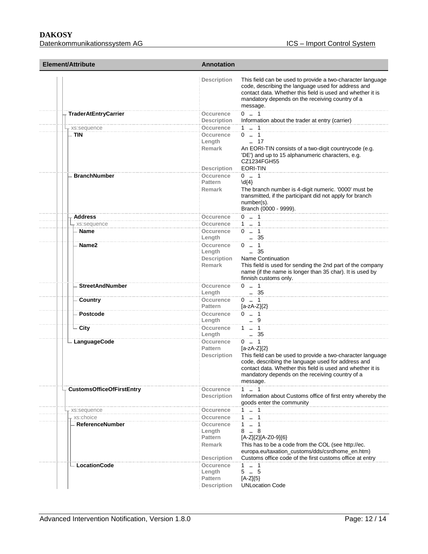### **DAKOSY**

Datenkommunikationssystem AG ICS – Import Control System

| Element/Attribute                                                                      | <b>Annotation</b>                                                            |                                                                                                                                                                                                                                                                               |
|----------------------------------------------------------------------------------------|------------------------------------------------------------------------------|-------------------------------------------------------------------------------------------------------------------------------------------------------------------------------------------------------------------------------------------------------------------------------|
|                                                                                        | <b>Description</b>                                                           | This field can be used to provide a two-character language<br>code, describing the language used for address and<br>contact data. Whether this field is used and whether it is<br>mandatory depends on the receiving country of a<br>message.                                 |
| <b>TraderAtEntryCarrier</b>                                                            | Occurence<br><b>Description</b>                                              | $0 \t  1$<br>Information about the trader at entry (carrier)                                                                                                                                                                                                                  |
| xs:sequence                                                                            | Occurence                                                                    | $1 \t  1$                                                                                                                                                                                                                                                                     |
| . TIN                                                                                  | Occurence<br>Length<br><b>Remark</b><br><b>Description</b>                   | 01<br>17<br>An EORI-TIN consists of a two-digit countrycode (e.g.<br>'DE') and up to 15 alphanumeric characters, e.g.<br>CZ1234FGH55<br>EORI-TIN                                                                                                                              |
| <b>BranchNumber</b>                                                                    | <b>Occurence</b><br><b>Pattern</b><br><b>Remark</b>                          | $0 \t  1$<br>$\{d\}$<br>The branch number is 4-digit numeric. '0000' must be<br>transmitted, if the participant did not apply for branch<br>number(s).<br>Branch (0000 - 9999).                                                                                               |
| Address                                                                                | <b>Occurence</b>                                                             | $0 \cdot 1$                                                                                                                                                                                                                                                                   |
| xs:sequence                                                                            | Occurence                                                                    | $1 \cdot 1$                                                                                                                                                                                                                                                                   |
| <b>Name</b>                                                                            | Occurence<br>Length                                                          | $0 \t  1$<br>$\therefore$ 35                                                                                                                                                                                                                                                  |
| Name <sub>2</sub>                                                                      | Occurence<br>Length<br><b>Description</b><br><b>Remark</b>                   | $0 \t  1$<br>$\frac{1}{2}$ 35<br><b>Name Continuation</b><br>This field is used for sending the 2nd part of the company<br>name (if the name is longer than 35 char). It is used by<br>finnish customs only.                                                                  |
| <b>StreetAndNumber</b>                                                                 | Occurence<br>Length                                                          | $0 \t  1$<br>. 35                                                                                                                                                                                                                                                             |
| Country                                                                                | <b>Occurence</b><br><b>Pattern</b>                                           | $0 \t  1$<br>$[a-zA-Z]\{2\}$                                                                                                                                                                                                                                                  |
| Postcode                                                                               | Occurence<br>Length                                                          | $0 \t  1$<br>$\mathbf{u}$ 9                                                                                                                                                                                                                                                   |
| - City                                                                                 | Occurence<br>Length                                                          | $1 \t  \t 1$<br>$\therefore$ 35                                                                                                                                                                                                                                               |
| - LanguageCode                                                                         | Occurence<br><b>Pattern</b><br><b>Description</b>                            | $0 \t  1$<br>$[a-zA-Z]\{2\}$<br>This field can be used to provide a two-character language<br>code, describing the language used for address and<br>contact data. Whether this field is used and whether it is<br>mandatory depends on the receiving country of a<br>message. |
| <b>CustomsOfficeOfFirstEntry</b>                                                       | <b>Occurence</b><br><b>Description</b>                                       | 1 . 1<br>Information about Customs office of first entry whereby the<br>goods enter the community                                                                                                                                                                             |
| xs:sequence                                                                            | <b>Occurence</b>                                                             | 1  1                                                                                                                                                                                                                                                                          |
| xs:choice                                                                              | Occurence                                                                    | $1 \t  \t 1$                                                                                                                                                                                                                                                                  |
| <b>ReferenceNumber</b>                                                                 | Occurence<br>Length<br><b>Pattern</b><br><b>Remark</b><br><b>Description</b> | 11<br>8.8<br>[A-Z]{2}[A-Z0-9]{6}<br>This has to be a code from the COL (see http://ec.<br>europa.eu/taxation customs/dds/csrdhome en.htm)<br>Customs office code of the first customs office at entry                                                                         |
| $\mathrel{\mathop{\rule{.15pt}{\textstyle\mathop{\rule{.15pt}{0.05pt}}}}$ LocationCode | Occurence<br>Length<br>Pattern<br><b>Description</b>                         | $1 \t  1$<br>55<br>$[A-Z]\{5\}$<br><b>UNLocation Code</b>                                                                                                                                                                                                                     |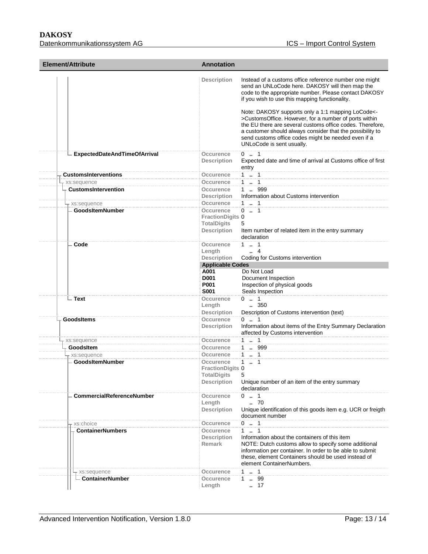| <b>Element/Attribute</b>            | <b>Annotation</b>                                                                |                                                                                                                                                                                                                                                                                                                                                                                                                                                                                                                                                  |
|-------------------------------------|----------------------------------------------------------------------------------|--------------------------------------------------------------------------------------------------------------------------------------------------------------------------------------------------------------------------------------------------------------------------------------------------------------------------------------------------------------------------------------------------------------------------------------------------------------------------------------------------------------------------------------------------|
|                                     | <b>Description</b>                                                               | Instead of a customs office reference number one might<br>send an UNLoCode here. DAKOSY will then map the<br>code to the appropriate number. Please contact DAKOSY<br>if you wish to use this mapping functionality.<br>Note: DAKOSY supports only a 1:1 mapping LoCode<-<br>>CustomsOffice. However, for a number of ports within<br>the EU there are several customs office codes. Therefore,<br>a customer should always consider that the possibility to<br>send customs office codes might be needed even if a<br>UNLoCode is sent usually. |
| <b>ExpectedDateAndTimeOfArrival</b> | Occurence<br><b>Description</b>                                                  | $0$ . 1<br>Expected date and time of arrival at Customs office of first<br>entry                                                                                                                                                                                                                                                                                                                                                                                                                                                                 |
| <b>CustomsInterventions</b>         | Occurence                                                                        | $1 - 1$                                                                                                                                                                                                                                                                                                                                                                                                                                                                                                                                          |
| xs:sequence                         | Occurence                                                                        | $1 - 1$                                                                                                                                                                                                                                                                                                                                                                                                                                                                                                                                          |
| <b>CustomsIntervention</b>          | Occurence                                                                        | 1 . 999                                                                                                                                                                                                                                                                                                                                                                                                                                                                                                                                          |
|                                     | <b>Description</b>                                                               | Information about Customs intervention                                                                                                                                                                                                                                                                                                                                                                                                                                                                                                           |
| xs:sequence                         | Occurence                                                                        | 1  1                                                                                                                                                                                                                                                                                                                                                                                                                                                                                                                                             |
| <b>GoodsItemNumber</b>              | Occurence<br><b>FractionDigits 0</b><br><b>TotalDigits</b><br><b>Description</b> | $0 \t  1$<br>5<br>Item number of related item in the entry summary                                                                                                                                                                                                                                                                                                                                                                                                                                                                               |
|                                     |                                                                                  | declaration                                                                                                                                                                                                                                                                                                                                                                                                                                                                                                                                      |
| Code                                | Occurence<br>Length<br><b>Description</b><br><b>Applicable Codes</b>             | 1 . 1<br>4<br>Coding for Customs intervention                                                                                                                                                                                                                                                                                                                                                                                                                                                                                                    |
|                                     | A001<br><b>D001</b><br><b>P001</b><br>S001                                       | Do Not Load<br>Document Inspection<br>Inspection of physical goods<br>Seals Inspection                                                                                                                                                                                                                                                                                                                                                                                                                                                           |
| – Text                              | Occurence<br>Length<br><b>Description</b>                                        | $0 \t  1$<br>350<br>Description of Customs intervention (text)                                                                                                                                                                                                                                                                                                                                                                                                                                                                                   |
| <b>GoodsItems</b>                   | Occurence<br><b>Description</b>                                                  | $0 \t  1$<br>Information about items of the Entry Summary Declaration<br>affected by Customs intervention                                                                                                                                                                                                                                                                                                                                                                                                                                        |
| xs:sequence                         | Occurence                                                                        | $1 \t  1$                                                                                                                                                                                                                                                                                                                                                                                                                                                                                                                                        |
| GoodsItem                           | Occurence                                                                        | 1 . 999                                                                                                                                                                                                                                                                                                                                                                                                                                                                                                                                          |
| xs:sequence                         | Occurence                                                                        | $1 - 1$                                                                                                                                                                                                                                                                                                                                                                                                                                                                                                                                          |
| GoodsItemNumber                     | Occurence<br><b>FractionDigits 0</b><br>TotalDigits<br><b>Description</b>        | $1 \t  \t 1$<br>Unique number of an item of the entry summary                                                                                                                                                                                                                                                                                                                                                                                                                                                                                    |
|                                     |                                                                                  | declaration                                                                                                                                                                                                                                                                                                                                                                                                                                                                                                                                      |
| <b>CommercialReferenceNumber</b>    | Occurence<br>Length<br><b>Description</b>                                        | $0 \t  1$<br>.70<br>Unique identification of this goods item e.g. UCR or freigth<br>document number                                                                                                                                                                                                                                                                                                                                                                                                                                              |
| xs:choice                           | Occurence                                                                        | $0 \t  1$                                                                                                                                                                                                                                                                                                                                                                                                                                                                                                                                        |
| <b>ContainerNumbers</b>             | Occurence<br>Description<br><b>Remark</b>                                        | $1 \t  \t 1$<br>Information about the containers of this item<br>NOTE: Dutch customs allow to specify some additional<br>information per container. In order to be able to submit<br>these, element Containers should be used instead of<br>element ContainerNumbers.                                                                                                                                                                                                                                                                            |
| -xs:sequence                        | Occurence                                                                        | $1 \t  \t 1$                                                                                                                                                                                                                                                                                                                                                                                                                                                                                                                                     |
| - ContainerNumber                   | Occurence<br>Length                                                              | 1 . 99<br>17<br>u.                                                                                                                                                                                                                                                                                                                                                                                                                                                                                                                               |